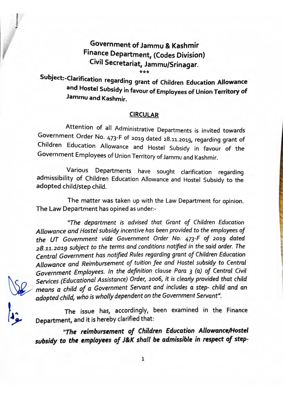## Government of Jammu & Kashmir Finance Department, (Codes Division) Civil Secretariat, Jammu/Srinagar.

\*\*\* Subject:-Clarification d" regar mg grant of Children Education **Allowance**  and Hostel Subsidy in favour of Employees of Union Territory of **Jammu and Kashmir.** 

## **CIRCULAR**

Attention of all Administrative Departments is invited towards Government Order No. 473-F of 2019 dated 28.11.2019, regarding grant of Children Education Allowance and Hostel Subsidy in favour of the Government Employees of Union Territory of Jammu and Kashmir.

Various Departments have sought clarification regarding admissibility of Children Education Allowance and Hostel Subsidy to the adopted child/step child.

The matter was taken up with the Law Department for opinion. The Law Department has opined as under:-

*"The department is advised that Grant of Children Education Allowance and Hostel subsidy incentive has been provided to the employees* of *the UT Government vide Government Order No.* 473-F of *2019 dated <sup>2</sup> 8.11.2019 subject to the terms and conditions notified in the said order. The Central Government has notified Rules regarding grant of Children Education Allowance and Reimbursement of tuition fee and Hostel subsidy to Central Government Employees. In the definition clause Para 3 (a) of Central Civil Services (Educational Assistance) Order, 2006, it is clearly provided that child means a child of a Government Servant and includes a step- child and an adopted child, who is wholly dependent on the Government Servant".* 

The issue has, accordingly, been examined in the Finance Department, and it is hereby clarified that:

*"The reimbursement of Children Education Allowance/Hostel*  subsidy to the employees of J&K shall be admissible in respect of step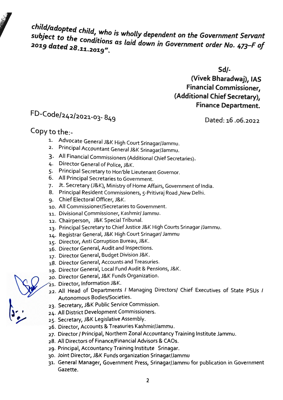*child/adopted child, who is wholly dependent on the Government Servant* **exaged to the conditions as laid down in Government order No. 473–F of and allegate and allegate and allegate** and  $\frac{2019}{473}$ 

**Sd/-**

**(Vivek Bharadwaj), IAS Financial Commissioner, (Additional Chief Secretary), Finance Department.** 

## FD-Code/242/2021-03- 849

Dated: 16 .06.2022

## Copy to the:-

- 1. Advocate General J&K High Court Srinagar/Jammu.
- 2. Principal Accountant General J&K Srinagar/Jammu.
- 3. All Financial Commissioners (Additional Chief Secretaries).
- 4. Director General of Police, J&K.
- 5. Principal Secretary to Hon'ble Lieutenant Governor.
- 6. All Principal Secretaries to Government.
- 7. Jt. Secretary (J&K), Ministry of Home Affairs, Government of India.
- 8. Principal Resident Commissioners, 5-Pritivraj Road ,New Delhi.
- g. Chief Electoral Officer, J&K.
- 10. All Commissioner/Secretaries to Government.
- 11. Divisional Commissioner, Kashmir/ Jammu.
- 12. Chairperson, J&K Special Tribunal.
- 13. Principal Secretary to Chief Justice J&K High Courts Srinagar /Jammu.
- 14. Registrar General, J&K High Court Srinagar/ Jammu
- 15. Director, Anti Corruption Bureau, J&K.
- 16. Director General, Audit and Inspections.
- 17. Director General, Budget Division J&K.
- 18. Director General, Accounts and Treasuries.
- 19. Director General, Local Fund Audit & Pensions, J&K.
- 20. Director General, J&K Funds Organization.
- 21. Director, Information J&K.
- 22. All Head of Departments / Managing Directors/ Chief Executives of State PSUs /<br>Autonomous Bodies/Societies.
- 23. Secretary, J&K Public Service Commission.<br>24. All District Development Commissioners.<br>25. Secretary, J&K Legislative Assembly.
- 24. All District Development Commissioners.
- 
- 26. Director, Accounts & Treasuries Kashmir/Jammu.
- 27. Director/ Principal, Northern Zonal Accountancy Training Institute Jammu.
- 28. All Directors of Finance/Financial Advisors & CAOs.
- 29. Principal, Accountancy Training Institute Srinagar.
- 30. Joint Director, J&K Funds organization Srinagar/Jammu
- 31. General Manager, Government Press, Srinagar/Jammu for publication in Government Gazette.